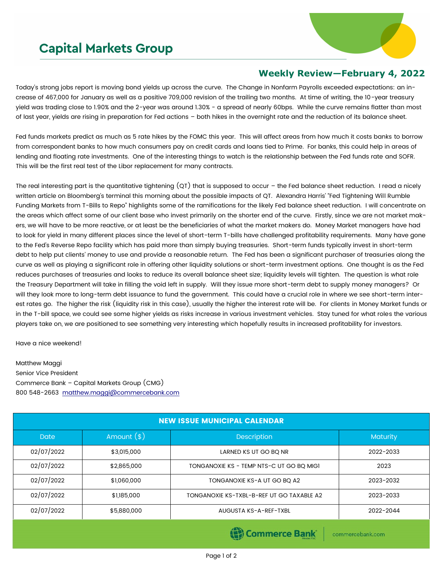## **Capital Markets Group**



## **Weekly Review—February 4, 2022**

Today's strong jobs report is moving bond yields up across the curve. The Change in Nonfarm Payrolls exceeded expectations: an increase of 467,000 for January as well as a positive 709,000 revision of the trailing two months. At time of writing, the 10-year treasury yield was trading close to 1.90% and the 2-year was around 1.30% - a spread of nearly 60bps. While the curve remains flatter than most of last year, yields are rising in preparation for Fed actions – both hikes in the overnight rate and the reduction of its balance sheet.

Fed funds markets predict as much as 5 rate hikes by the FOMC this year. This will affect areas from how much it costs banks to borrow from correspondent banks to how much consumers pay on credit cards and loans tied to Prime. For banks, this could help in areas of lending and floating rate investments. One of the interesting things to watch is the relationship between the Fed funds rate and SOFR. This will be the first real test of the Libor replacement for many contracts.

The real interesting part is the quantitative tightening (QT) that is supposed to occur – the Fed balance sheet reduction. I read a nicely written article on Bloomberg's terminal this morning about the possible impacts of QT. Alexandra Harris' "Fed Tightening Will Rumble Funding Markets from T-Bills to Repo" highlights some of the ramifications for the likely Fed balance sheet reduction. I will concentrate on the areas which affect some of our client base who invest primarily on the shorter end of the curve. Firstly, since we are not market makers, we will have to be more reactive, or at least be the beneficiaries of what the market makers do. Money Market managers have had to look for yield in many different places since the level of short-term T-bills have challenged profitability requirements. Many have gone to the Fed's Reverse Repo facility which has paid more than simply buying treasuries. Short-term funds typically invest in short-term debt to help put clients' money to use and provide a reasonable return. The Fed has been a significant purchaser of treasuries along the curve as well as playing a significant role in offering other liquidity solutions or short-term investment options. One thought is as the Fed reduces purchases of treasuries and looks to reduce its overall balance sheet size; liquidity levels will tighten. The question is what role the Treasury Department will take in filling the void left in supply. Will they issue more short-term debt to supply money managers? Or will they look more to long-term debt issuance to fund the government. This could have a crucial role in where we see short-term interest rates go. The higher the risk (liquidity risk in this case), usually the higher the interest rate will be. For clients in Money Market funds or in the T-bill space, we could see some higher yields as risks increase in various investment vehicles. Stay tuned for what roles the various players take on, we are positioned to see something very interesting which hopefully results in increased profitability for investors.

Have a nice weekend!

Matthew Maggi Senior Vice President Commerce Bank – Capital Markets Group (CMG) 800 548-2663 [matthew.maggi@commercebank.com](mailto:matthew.maggi@commercebank.com)

| <b>NEW ISSUE MUNICIPAL CALENDAR</b> |              |                                                                |           |  |  |
|-------------------------------------|--------------|----------------------------------------------------------------|-----------|--|--|
| <b>Date</b>                         | Amount $(*)$ | Description                                                    |           |  |  |
| 02/07/2022                          | \$3,015,000  | LARNED KS UT GO BQ NR                                          | 2022-2033 |  |  |
| 02/07/2022                          | \$2,865,000  | TONGANOXIE KS - TEMP NTS-C UT GO BO MIGI                       | 2023      |  |  |
| 02/07/2022                          | \$1,060,000  | TONGANOXIE KS-A UT GO BQ A2                                    | 2023-2032 |  |  |
| 02/07/2022                          | \$1,185,000  | TONGANOXIE KS-TXBL-B-REF UT GO TAXABLE A2                      | 2023-2033 |  |  |
| 02/07/2022                          | \$5,880,000  | AUGUSTA KS-A-REF-TXBL                                          | 2022-2044 |  |  |
|                                     |              | $\mathbf{A}$<br>$\mathbf{m}$ and $\mathbf{m}$ and $\mathbf{m}$ |           |  |  |

Page 1 of 2